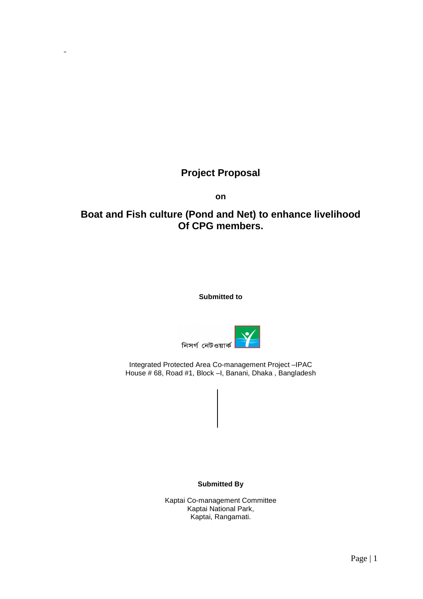# **Project Proposal**

*D¨x\_xa*

**on** 

# **Boat and Fish culture (Pond and Net) to enhance livelihood Of CPG members.**

**Submitted to** 



Integrated Protected Area Co-management Project –IPAC House # 68, Road #1, Block –I, Banani, Dhaka , Bangladesh

**Submitted By** 

Kaptai Co-management Committee Kaptai National Park, Kaptai, Rangamati.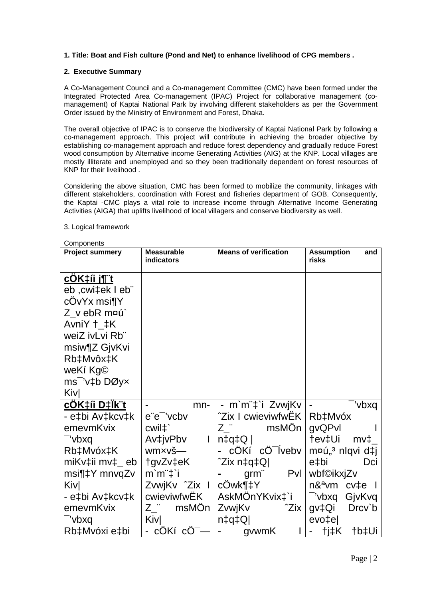# **1. Title: Boat and Fish culture (Pond and Net) to enhance livelihood of CPG members .**

## **2. Executive Summary**

A Co-Management Council and a Co-management Committee (CMC) have been formed under the Integrated Protected Area Co-management (IPAC) Project for collaborative management (comanagement) of Kaptai National Park by involving different stakeholders as per the Government Order issued by the Ministry of Environment and Forest, Dhaka.

The overall objective of IPAC is to conserve the biodiversity of Kaptai National Park by following a co-management approach. This project will contribute in achieving the broader objective by establishing co-management approach and reduce forest dependency and gradually reduce Forest wood consumption by Alternative income Generating Activities (AIG) at the KNP. Local villages are mostly illiterate and unemployed and so they been traditionally dependent on forest resources of KNP for their livelihood .

Considering the above situation, CMC has been formed to mobilize the community, linkages with different stakeholders, coordination with Forest and fisheries department of GOB. Consequently, the Kaptai -CMC plays a vital role to increase income through Alternative Income Generating Activities (AIGA) that uplifts livelihood of local villagers and conserve biodiversity as well.

| Components                         |                                 |                               |                                   |
|------------------------------------|---------------------------------|-------------------------------|-----------------------------------|
| <b>Project summery</b>             | <b>Measurable</b><br>indicators | <b>Means of verification</b>  | <b>Assumption</b><br>and<br>risks |
|                                    |                                 |                               |                                   |
| <u>cOK‡íi j¶¨t</u>                 |                                 |                               |                                   |
| eb ,cwi‡ek I eb¨                   |                                 |                               |                                   |
| cOvYx msi¶Y                        |                                 |                               |                                   |
| Z v ebR m¤ú`                       |                                 |                               |                                   |
| Avni $Y$ $\uparrow$ $\downarrow$ K |                                 |                               |                                   |
| weiZ ivLvi Rb"                     |                                 |                               |                                   |
| msiw¶Z GjvKvi                      |                                 |                               |                                   |
| Rb‡Mvôx‡K                          |                                 |                               |                                   |
| weKí Kg©                           |                                 |                               |                                   |
| $ms^-$ 'v‡b DØy $\times$           |                                 |                               |                                   |
| Kivl                               |                                 |                               |                                   |
| <u>cOK‡íi D‡lk¨t</u>               | mn-                             | - m`m¨‡`i ZvwjKv              | "vbxq                             |
| - e‡bi Av‡kcv‡k                    | e"e" 'vcbv                      | <b>2ix I cwieviwfwEK</b>      | Rb‡Mvóx                           |
| emevmKvix                          | cwil <sup>+</sup>               | msMOn<br>Z "                  | gvQPvl                            |
| "vbxq                              | Av‡jvPbv<br>$\mathsf{l}$        | $ Q$ +p $\uparrow$            | †ev‡Ui<br>$mv+$                   |
| Rb‡Mvóx‡K                          | wmxvš-                          | cÔKí cO <sup>-</sup> ľvebv    | m¤ú" <sup>3</sup> nlqvi d‡j       |
| miKv‡ii mv‡_eb                     | tgvZv‡eK                        | ^Zix n‡q‡Q                    | e‡bi<br>Dci                       |
| msi¶‡Y mnvqZv                      | $m'm''\ddagger i$               | Pvl<br>$g$ rm"                | wbf©ikxjZv                        |
| <b>Kiv</b>                         | ZvwjKv <sup>2</sup> Zix I       | cOwk¶‡Y                       | n& <sup>a</sup> vm cv‡e I         |
| - e‡bi Av‡kcv‡k                    | cwieviwfwEK                     | AskMOnYKvix‡`i                | -'vbxq GjvKvq                     |
| emevmKvix                          | Z msMOn                         | ZvwjKv<br>^Zix                | gv‡Qi<br>Drcv`b                   |
| "vbxq                              | <b>Kiv</b>                      | $n \downarrow q \downarrow Q$ | evo‡e                             |
| Rb‡Mvóxi e‡bi                      | - cOKí cO <sup>-</sup>          | gvwmK                         | tj‡K<br>†b‡Ui                     |

#### 3. Logical framework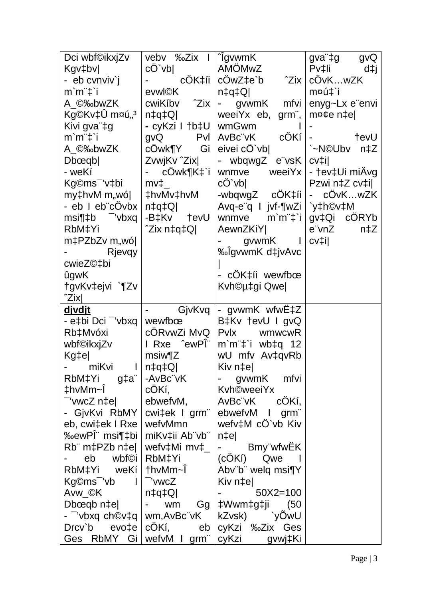| Dci wbf©ikxjZv                         | vebv ‰Zix I   ^igvwmK                |                                                           | gva"‡g<br>gvQ                                     |
|----------------------------------------|--------------------------------------|-----------------------------------------------------------|---------------------------------------------------|
| Kgv‡bv                                 | $c\ddot{O}$ vb                       | AMÖMwZ                                                    | $Pvt$ li<br>d‡j                                   |
| - eb cvnviv`j                          |                                      | cÖK‡íi   cÖwZ‡e`b<br>^Zix ∣                               | cÖvKwZK                                           |
| $m'm''\ddagger i$                      | evwl©K                               | $n \downarrow q \downarrow Q$                             | m¤ú‡`i                                            |
| A ©‰bwZK                               | $cwiKibv$ $2ix$                      | gvwmK<br>mfvi<br>$\frac{1}{2}$ and $\frac{1}{2}$          | enyg~Lx e"envi                                    |
| Kg©Kv‡Û m¤ú" <sup>3</sup>              | n‡q‡Q                                | weeiYx eb, grm",                                          | $m$ ¤¢e n $\pm$ e                                 |
| Kivi gva"‡g                            | - cyKzi I †b‡U ∣ wmGwm               |                                                           |                                                   |
| m`m¨‡`i                                | $g\nu Q$                             | $PVI   AvBc"vK$ $cÖKi  $                                  | tevU<br><b>All Contracts</b>                      |
| A_©‰bwZK                               | cOwk¶Y Gi                            | eivei cO'vb                                               | `~N©Ubv<br>$n\ddagger Z$                          |
| Dbœqb                                  | ZvwjKv ^Zix                          | - wbqwgZ e"vsK                                            | $cv$ <sup><math>\ddagger</math></sup> $\parallel$ |
| - weKí                                 | cOwk¶K‡`i                            | weeiYx  <br>wnmve                                         | - †ev‡Ui miÄvg                                    |
| Kg©ms <sup>-</sup> 'v‡bi               | $mv_{\perp}$                         | $c\ddot{\mathrm{O}}$ vb                                   | Pzwi n‡Z cv‡il                                    |
| my‡hvM m"wó                            | #hvMv‡hvM                            | -wbqwgZ $c\ddot{O}K\ddagger i$ i                          | $-COvKwZK$                                        |
| - eb I eb"cOvbx                        | $n \downarrow q \downarrow Q$        | Avq-e"q   jvf-¶wZi   `y‡h©v‡M                             |                                                   |
| msi¶‡b <sup>–</sup> 'vbxq              | -B‡Kv †evU                           | $m'm''\ddagger i$<br>wnmve                                | gv‡Qi cÖRYb                                       |
| RbM‡Yi                                 | ^Zix n‡q‡Q                           | AewnZKiY                                                  | e vnZ<br>n‡Z                                      |
| m‡PZbZv m"wó                           |                                      | gvwmK I                                                   | $cv$ ‡i $ $                                       |
| Rjevgy                                 |                                      | %olgvwmK d‡jvAvc                                          |                                                   |
| cwieZ©‡bi                              |                                      |                                                           |                                                   |
| ûgwK                                   |                                      | - cÖK‡íi wewfbœ                                           |                                                   |
| tgvKv‡ejvi `¶Zv                        |                                      | Kvh©µ‡gi Qwe                                              |                                                   |
| ^Zix                                   |                                      |                                                           |                                                   |
|                                        |                                      |                                                           |                                                   |
| <u>djvdjt</u>                          | GjvKvq                               | - gvwmK wfwE‡Z                                            |                                                   |
| - e‡bi Dci <sup>-</sup> '∨bxq ∣        | wewfbœ                               | B‡Kv †evU I gvQ                                           |                                                   |
| Rb‡Mvóxi                               | cÖRvwZi MvQ                          | Pvlx<br>wmwcwR                                            |                                                   |
| wbf©ikxjZv                             | I Rxe <sup>c</sup> ewPI <sup>"</sup> | $m$ `m <sup><math>\pm</math></sup> `i wb $\pm$ q 12       |                                                   |
| Kg‡e                                   | $msiw$ $Z$                           | wU mfv Av‡qvRb                                            |                                                   |
| miKvi                                  | $ Q$ ‡p‡n                            | Kiv n‡e                                                   |                                                   |
| RbM‡Yi g‡a <sup>"</sup>                | -AvBc"vK                             | gvwmK<br>mfvi                                             |                                                   |
| ‡hvMm~Ī                                | cÖKí,                                | <b>Kvh©weeiYx</b>                                         |                                                   |
| wwcZ n‡el"                             | ebwefvM,                             | AvBc"vK<br>cOKí,                                          |                                                   |
| - GjvKvi RbMY                          | cwi‡ek I grm"                        | ebwefvM I grm                                             |                                                   |
| eb, cwi‡ek I Rxe                       | wefvMmn                              | wefv‡M cO`vb Kiv                                          |                                                   |
| ‰ewPΨ msi¶‡bi                          | miKv‡ii Ab"vb"                       | $n \uparrow e$                                            |                                                   |
| $Rb$ " m $\ddagger$ PZb n $\ddagger$ e | wefv‡Mi mv‡_                         | - Bmy"wfwEK                                               |                                                   |
| eb wbf©i                               | RbM‡Yi                               | (cÔKí) Qwe l                                              |                                                   |
| RbM‡Yi weKi                            | †hvMm∼Ī                              | Abv"b" welq msi¶Y                                         |                                                   |
| Kg©ms <sup>-</sup> 'vb                 | - 'vwcZ                              | Kiv n‡el                                                  |                                                   |
| Avw_©K                                 | $ Q$ ‡q                              | $50X2 = 100$                                              |                                                   |
| Dbœqb n‡e                              | - wm                                 | Gg   ‡Wwm‡g‡ji<br>(50                                     |                                                   |
| - ¯'vbxq ch©v‡q   wm,AvBc¨vK           |                                      | kZvsk)<br>`yOwU                                           |                                                   |
| Ges RbMY Gi   wefvM I grm"             |                                      | Drcv`b evo‡e   cOKí, eb   cyKzi ‰Zix Ges<br>cyKzi gvwj‡Ki |                                                   |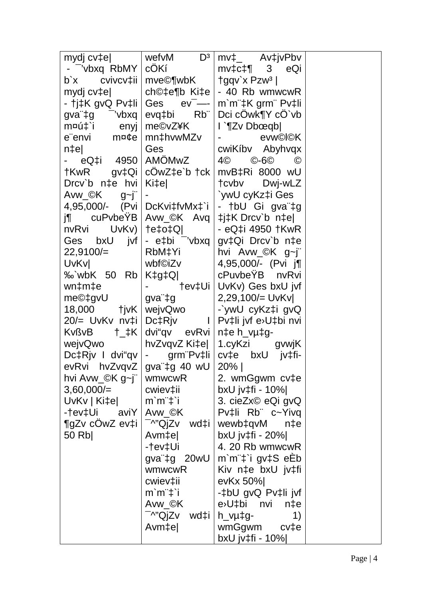| mydj cv‡e∣                                  | wefv $M$ $D^3$                                                    | $mv_{\perp}$ Av $\downarrow$ jvPbv                      |  |
|---------------------------------------------|-------------------------------------------------------------------|---------------------------------------------------------|--|
| - Vbxq RbMY                                 | cÖKí                                                              | $mv\ddagger$ c $\ddagger$ ¶ 3<br>eQi                    |  |
| b`x cvivcv‡ii   mve©¶wbK                    |                                                                   | $\frac{1}{2}$ gqv'x Pzw <sup>3</sup>                    |  |
|                                             |                                                                   | mydj cv‡e    ch©‡e¶b Ki‡e   - 40 Rb wmwcwR              |  |
| - †j‡K gvQ Pv‡li                            | Ges                                                               | $ev^-$ - $\mid$ m m $\pm$ K grm $\mid$ Pv $\pm$ li      |  |
| gva" $\pm$ g <sup>-</sup> 'vbxq             | evq‡bi Rb"                                                        | Dci cOwk¶Y cO`vb                                        |  |
| m¤ú‡`i enyj                                 | me©vZ¥K                                                           | l `¶Zv Dbœqb                                            |  |
| $e$ "envi m¤¢e                              | mn‡hvwMZv                                                         | evw©l©K                                                 |  |
| n‡e                                         | Ges                                                               | cwiKíbv Abyhvqx                                         |  |
| - eQ‡i 4950∣AMÖMwZ                          |                                                                   | 4©<br>©-6©<br>$\odot$                                   |  |
| †KwR gv‡Qi   cOwZ‡e`b †ck                   |                                                                   | mvB‡Ri 8000 wU                                          |  |
| Drcv`b n‡e hvi                              | Ki‡e                                                              | tcvbv Dwj-wLZ                                           |  |
| Avw_©K g~j¨                                 |                                                                   | `ywU cyKz‡i Ges                                         |  |
| $4,95,000/$ - (Pvi DcKvi‡fvMx $\ddagger$ `i |                                                                   | - †bU Gi gva <sup>"</sup> ‡g                            |  |
|                                             |                                                                   | j¶         cuPvbeYB   Avw_©K    Avq   ‡j‡K Drcv`b   n‡e |  |
| nvRvi UvKv)   †e‡o‡Q                        |                                                                   | - eQ‡i 4950 †KwR                                        |  |
| Ges bxU jvf                                 | - $e$ ‡bi $\overline{\phantom{a}}$ 'vbxq $\overline{\phantom{a}}$ | gv‡Qi Drcv`b n‡e                                        |  |
| 22,9100/                                    | RbM‡Yi                                                            | hvi Avw_©K g~j"                                         |  |
| UvKvl                                       | wbf©iZv                                                           | 4,95,000/- (Pvi j¶                                      |  |
| $\%$ wbK 50 Rb                              | K‡g‡Q                                                             | cPuvbeYB nvRvi                                          |  |
| wn‡m‡e                                      |                                                                   | - †ev‡Ui   UvKv) Ges bxU jvf                            |  |
| me©‡gvU                                     | gva¨‡g                                                            | 2,29,100/= UvKv                                         |  |
| 18,000 tjvK   wejvQwo                       |                                                                   | -`ywU cyKz‡i gvQ                                        |  |
|                                             |                                                                   | 20/= UvKv nv‡i Dc‡Rjv I Pv‡li jvf e>U‡bi nvi            |  |
| $KvB \t t_tK$                               | dvi"qv evRvi   n‡e h_vµ‡g-                                        |                                                         |  |
| wejvQwo                                     |                                                                   |                                                         |  |
|                                             |                                                                   | Dc‡Rjv I dvi"qv   - grm Pv‡li   cv‡e bxU jv‡fi-         |  |
| evRvi hvZvqvZ   gva"‡g 40 wU   20%          |                                                                   |                                                         |  |
| hvi Avw_©K g~j"   wmwcwR                    |                                                                   | 2. wmGgwm cv‡e                                          |  |
| $3,60,000/=$                                | cwiev‡ii                                                          | bxU jv‡fi - 10%                                         |  |
| $UvKv   Ki \ddagger e$                      | $m$ ` $m$ " $\ddagger$ ` $i$                                      | 3. cieZx© eQi gvQ                                       |  |
| -†ev‡Ui aviY   Avw_©K                       |                                                                   | Pv‡li Rb c~Yivq                                         |  |
| $\P$ gZv cÔwZ ev‡i $ $                      | $\sqrt{-N''}$ QjZv wd‡i                                           | wewb‡qvM<br>$n \ddagger e$                              |  |
| 50 Rb                                       | Avm‡el                                                            | bxU jv $\ddagger$ fi - 20% $\vert$                      |  |
|                                             | -†ev‡Ui                                                           | 4. 20 Rb wmwcwR                                         |  |
|                                             | gva"‡g 20wU                                                       | m'm"‡'i gv‡S eEb                                        |  |
|                                             | wmwcwR                                                            | Kiv n‡e bxU jv‡fi                                       |  |
|                                             | cwiev‡ii                                                          | ev $Kx$ 50%                                             |  |
|                                             | $m$ ` $m$ " $\ddagger$ `i                                         | -‡bU gvQ Pv‡li jvf                                      |  |
|                                             | Avw_©K                                                            | e <sup>&gt;</sup> U‡bi nvi n‡e                          |  |
|                                             | <sup>-</sup> ^"QjZv wd‡i   h_vµ‡g-                                | 1)                                                      |  |
|                                             | Avm‡el                                                            | wmGgwm cv‡e                                             |  |
|                                             |                                                                   | bxU jv‡fi - 10%                                         |  |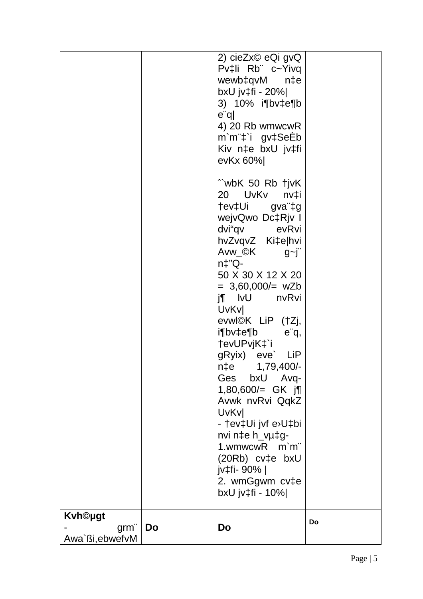| <b>Kvh©ugt</b><br>$g$ rm $\ddot{\ }$<br>Awa`ßi, ebwefvM | Do | bxU jv‡fi - 10% <br>Do                                                                                                                                                               | Do |
|---------------------------------------------------------|----|--------------------------------------------------------------------------------------------------------------------------------------------------------------------------------------|----|
|                                                         |    | <b>UvKvl</b><br>- †ev‡Ui jvf e>U‡bi<br>nvi n‡e h_vµ‡g-<br>1.wmwcwR m`m"<br>$(20Rb)$ cv $\uparrow$ e bxU<br>jv‡fi- 90%  <br>2. wmGgwm cv‡e                                            |    |
|                                                         |    | evwl©K LiP (†Zj,<br>i¶bv‡e¶b<br>$e^{\cdot}q$ ,<br>tevUPvjK‡`i<br>gRyix) eve` LiP<br>$n \ddagger e$<br>1,79,400/-<br>Ges bxU Avq-<br>1,80,600/= GK $j$ ¶<br>Avwk nvRvi QqkZ           |    |
|                                                         |    | Avw_©K<br>$g$ ~j<br>$n\ddagger$ "Q-<br>50 X 30 X 12 X 20<br>$= 3,60,000/= wZb$<br>$j\P$ IvU<br>nvRvi<br><b>UvKvl</b>                                                                 |    |
|                                                         |    | "wbK 50 Rb tjvK<br>20 UvKv<br>nv‡i<br>tev‡Ui gva <sup>r</sup> ‡g<br>wejvQwo Dc‡Rjv I<br>dvi"qv evRvi<br>hvZvqvZ Ki‡e hvi                                                             |    |
|                                                         |    | 2) cieZx© eQi gvQ<br>Pv‡li Rb c~Yivq<br>wewb‡qvM n‡e<br>bxU jv‡fi - 20% <br>3) 10% i¶bv‡e¶b<br>e <sub>q</sub><br>4) 20 Rb wmwcwR<br>m'm"‡'i gv‡SeEb<br>Kiv n‡e bxU jv‡fi<br>evKx 60% |    |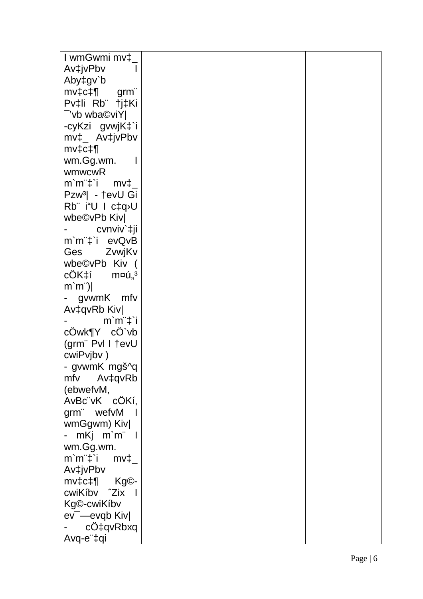| I wmGwmi mv‡_                                              |  |  |
|------------------------------------------------------------|--|--|
| Av‡jvPbv                                                   |  |  |
| Aby‡gv`b                                                   |  |  |
| $mv\ddagger$ c $\ddagger$ ¶<br>grm"                        |  |  |
| Pv‡li Rb †j‡Ki                                             |  |  |
| "vb wba©viY                                                |  |  |
| -cyKzi gvwjK‡`i                                            |  |  |
| $mv_{\perp}$ Av $\ddagger$ jvPbv                           |  |  |
| $mv\ddagger$ c $\ddagger$ ¶                                |  |  |
| wm.Gg.wm.                                                  |  |  |
| wmwcwR                                                     |  |  |
| $m'm''$ <sup><math>\ddagger</math></sup> i $mv^{\ddagger}$ |  |  |
| Pzw <sup>3</sup> - †evU Gi                                 |  |  |
| Rb" i"U I c‡q <sup>,</sup> U                               |  |  |
| wbe©vPb Kiv                                                |  |  |
| cvnviv`‡ji                                                 |  |  |
| m'm"‡'i evQvB                                              |  |  |
| Ges ZvwjKv                                                 |  |  |
| wbe©vPb Kiv (                                              |  |  |
| $c\ddot{O}K\ddagger$ í m¤ú" <sup>3</sup>                   |  |  |
| $m'm$ ")                                                   |  |  |
| - gvwmK mfv                                                |  |  |
| Av‡qvRb Kiv                                                |  |  |
| $m'm''\ddagger$ i                                          |  |  |
| cOwk¶Y cO`vb                                               |  |  |
| (grm" Pvl I tevU                                           |  |  |
| cwiPvjbv)                                                  |  |  |
| - gvwmK mgš^g                                              |  |  |
| mfv Av‡qvRb                                                |  |  |
| (ebwefvM,                                                  |  |  |
| AvBc"vK cÖKí,                                              |  |  |
| grm" wefvM                                                 |  |  |
| wmGgwm) Kiv                                                |  |  |
| - mKj m`m¨ l                                               |  |  |
| wm.Gg.wm.                                                  |  |  |
| $m$ ` $m$ " $\ddagger$ `i<br>$mv\ddagger$                  |  |  |
| Av‡jvPbv                                                   |  |  |
| $mv\text{+}c\text{+}P$ Kg $\odot$ -                        |  |  |
| cwiKíbv <sup>2</sup> Zix                                   |  |  |
| Kg©-cwiKíbv                                                |  |  |
| ev <sup>-</sup> -evqb Kiv                                  |  |  |
| cO‡qvRbxq                                                  |  |  |
| Avq-e ‡qi                                                  |  |  |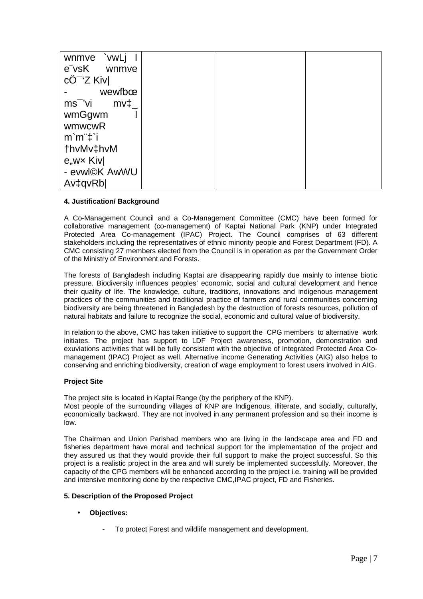| `vwLj<br>wnmve                           |  |  |
|------------------------------------------|--|--|
| e vsK<br>wnmve                           |  |  |
| $c\ddot{\mathrm{O}}$ <sup>-</sup> 'Z Kiv |  |  |
| wewfboe                                  |  |  |
| ms <sup>-</sup> 'vi<br>$mv\ddagger$      |  |  |
| wmGgwm                                   |  |  |
| wmwcwR                                   |  |  |
| m'm't'i                                  |  |  |
| thvMv‡hvM                                |  |  |
| e,wx Kiv                                 |  |  |
| - evwl©K AwWU                            |  |  |
| Av <sub>‡qvRb</sub>                      |  |  |

## **4. Justification/ Background**

A Co-Management Council and a Co-Management Committee (CMC) have been formed for collaborative management (co-management) of Kaptai National Park (KNP) under Integrated Protected Area Co-management (IPAC) Project. The Council comprises of 63 different stakeholders including the representatives of ethnic minority people and Forest Department (FD). A CMC consisting 27 members elected from the Council is in operation as per the Government Order of the Ministry of Environment and Forests.

The forests of Bangladesh including Kaptai are disappearing rapidly due mainly to intense biotic pressure. Biodiversity influences peoples' economic, social and cultural development and hence their quality of life. The knowledge, culture, traditions, innovations and indigenous management practices of the communities and traditional practice of farmers and rural communities concerning biodiversity are being threatened in Bangladesh by the destruction of forests resources, pollution of natural habitats and failure to recognize the social, economic and cultural value of biodiversity.

In relation to the above, CMC has taken initiative to support the CPG members to alternative work initiates. The project has support to LDF Project awareness, promotion, demonstration and exuviations activities that will be fully consistent with the objective of Integrated Protected Area Comanagement (IPAC) Project as well. Alternative income Generating Activities (AIG) also helps to conserving and enriching biodiversity, creation of wage employment to forest users involved in AIG.

#### **Project Site**

The project site is located in Kaptai Range (by the periphery of the KNP).

Most people of the surrounding villages of KNP are Indigenous, illiterate, and socially, culturally, economically backward. They are not involved in any permanent profession and so their income is low.

The Chairman and Union Parishad members who are living in the landscape area and FD and fisheries department have moral and technical support for the implementation of the project and they assured us that they would provide their full support to make the project successful. So this project is a realistic project in the area and will surely be implemented successfully. Moreover, the capacity of the CPG members will be enhanced according to the project i.e. training will be provided and intensive monitoring done by the respective CMC,IPAC project, FD and Fisheries.

#### **5. Description of the Proposed Project**

- **Objectives:** 
	- To protect Forest and wildlife management and development.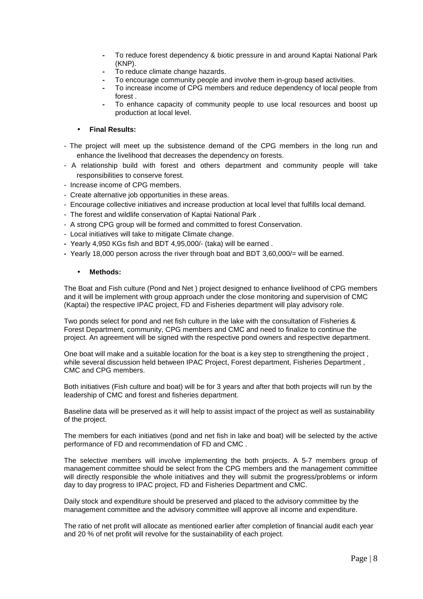- To reduce forest dependency & biotic pressure in and around Kaptai National Park (KNP).
- To reduce climate change hazards.
- To encourage community people and involve them in-group based activities.
- To increase income of CPG members and reduce dependency of local people from forest .
- To enhance capacity of community people to use local resources and boost up production at local level.

## • **Final Results:**

- The project will meet up the subsistence demand of the CPG members in the long run and enhance the livelihood that decreases the dependency on forests.
- A relationship build with forest and others department and community people will take responsibilities to conserve forest.
- Increase income of CPG members.
- Create alternative job opportunities in these areas.
- Encourage collective initiatives and increase production at local level that fulfills local demand.
- The forest and wildlife conservation of Kaptai National Park .
- A strong CPG group will be formed and committed to forest Conservation.
- Local initiatives will take to mitigate Climate change.
- Yearly 4,950 KGs fish and BDT 4,95,000/- (taka) will be earned .
- **-** Yearly 18,000 person across the river through boat and BDT 3,60,000/= will be earned.

### • **Methods:**

The Boat and Fish culture (Pond and Net ) project designed to enhance livelihood of CPG members and it will be implement with group approach under the close monitoring and supervision of CMC (Kaptai) the respective IPAC project, FD and Fisheries department will play advisory role.

Two ponds select for pond and net fish culture in the lake with the consultation of Fisheries & Forest Department, community, CPG members and CMC and need to finalize to continue the project. An agreement will be signed with the respective pond owners and respective department.

One boat will make and a suitable location for the boat is a key step to strengthening the project , while several discussion held between IPAC Project, Forest department, Fisheries Department , CMC and CPG members.

Both initiatives (Fish culture and boat) will be for 3 years and after that both projects will run by the leadership of CMC and forest and fisheries department.

Baseline data will be preserved as it will help to assist impact of the project as well as sustainability of the project.

The members for each initiatives (pond and net fish in lake and boat) will be selected by the active performance of FD and recommendation of FD and CMC .

The selective members will involve implementing the both projects. A 5-7 members group of management committee should be select from the CPG members and the management committee will directly responsible the whole initiatives and they will submit the progress/problems or inform day to day progress to IPAC project, FD and Fisheries Department and CMC.

Daily stock and expenditure should be preserved and placed to the advisory committee by the management committee and the advisory committee will approve all income and expenditure.

The ratio of net profit will allocate as mentioned earlier after completion of financial audit each year and 20 % of net profit will revolve for the sustainability of each project.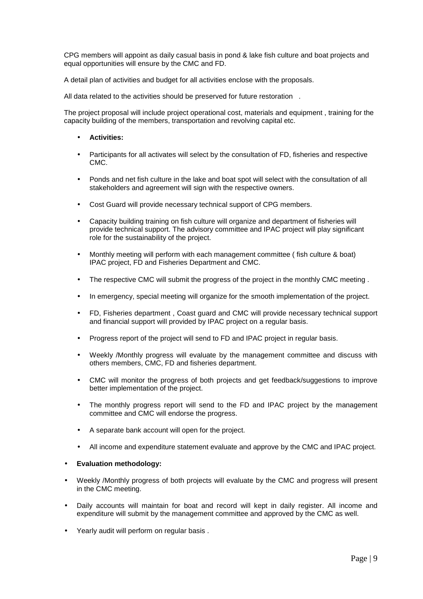CPG members will appoint as daily casual basis in pond & lake fish culture and boat projects and equal opportunities will ensure by the CMC and FD.

A detail plan of activities and budget for all activities enclose with the proposals.

All data related to the activities should be preserved for future restoration .

The project proposal will include project operational cost, materials and equipment , training for the capacity building of the members, transportation and revolving capital etc.

- **Activities:**
- Participants for all activates will select by the consultation of FD, fisheries and respective CMC.
- Ponds and net fish culture in the lake and boat spot will select with the consultation of all stakeholders and agreement will sign with the respective owners.
- Cost Guard will provide necessary technical support of CPG members.
- Capacity building training on fish culture will organize and department of fisheries will provide technical support. The advisory committee and IPAC project will play significant role for the sustainability of the project.
- Monthly meeting will perform with each management committee ( fish culture & boat) IPAC project, FD and Fisheries Department and CMC.
- The respective CMC will submit the progress of the project in the monthly CMC meeting .
- In emergency, special meeting will organize for the smooth implementation of the project.
- FD, Fisheries department , Coast guard and CMC will provide necessary technical support and financial support will provided by IPAC project on a regular basis.
- Progress report of the project will send to FD and IPAC project in regular basis.
- Weekly /Monthly progress will evaluate by the management committee and discuss with others members, CMC, FD and fisheries department.
- CMC will monitor the progress of both projects and get feedback/suggestions to improve better implementation of the project.
- The monthly progress report will send to the FD and IPAC project by the management committee and CMC will endorse the progress.
- A separate bank account will open for the project.
- All income and expenditure statement evaluate and approve by the CMC and IPAC project.

#### • **Evaluation methodology:**

- Weekly /Monthly progress of both projects will evaluate by the CMC and progress will present in the CMC meeting.
- Daily accounts will maintain for boat and record will kept in daily register. All income and expenditure will submit by the management committee and approved by the CMC as well.
- Yearly audit will perform on regular basis .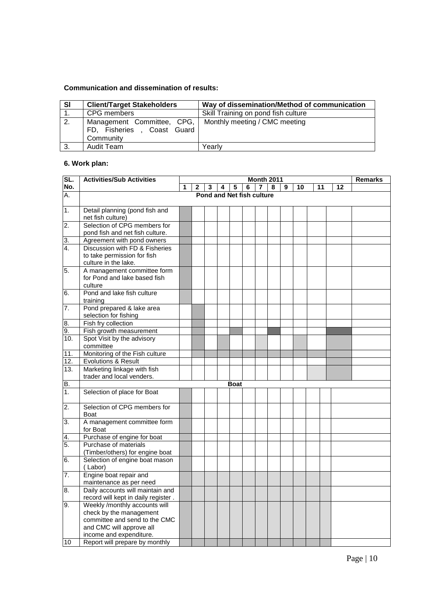# **Communication and dissemination of results:**

| <b>SI</b> | <b>Client/Target Stakeholders</b>                                                                     | Way of dissemination/Method of communication |
|-----------|-------------------------------------------------------------------------------------------------------|----------------------------------------------|
|           | CPG members                                                                                           | Skill Training on pond fish culture          |
| 2.        | Management Committee, CPG,   Monthly meeting / CMC meeting<br>FD, Fisheries, Coast Guard<br>Community |                                              |
| 3.        | Audit Team                                                                                            | Yearlv                                       |

# **6. Work plan:**

| SL.                           | <b>Activities/Sub Activities</b>                     | <b>Month 2011</b> |   |   |   |                           |   |  | <b>Remarks</b> |   |    |    |    |  |
|-------------------------------|------------------------------------------------------|-------------------|---|---|---|---------------------------|---|--|----------------|---|----|----|----|--|
| No.                           |                                                      | 1                 | 2 | 3 | 4 | 5                         | 6 |  | 8              | 9 | 10 | 11 | 12 |  |
| А.                            |                                                      |                   |   |   |   | Pond and Net fish culture |   |  |                |   |    |    |    |  |
|                               |                                                      |                   |   |   |   |                           |   |  |                |   |    |    |    |  |
| 1.                            | Detail planning (pond fish and                       |                   |   |   |   |                           |   |  |                |   |    |    |    |  |
|                               | net fish culture)                                    |                   |   |   |   |                           |   |  |                |   |    |    |    |  |
| $\overline{2}$ .              | Selection of CPG members for                         |                   |   |   |   |                           |   |  |                |   |    |    |    |  |
|                               | pond fish and net fish culture.                      |                   |   |   |   |                           |   |  |                |   |    |    |    |  |
| 3.                            | Agreement with pond owners                           |                   |   |   |   |                           |   |  |                |   |    |    |    |  |
| $\overline{4}$ .              | Discussion with FD & Fisheries                       |                   |   |   |   |                           |   |  |                |   |    |    |    |  |
|                               | to take permission for fish                          |                   |   |   |   |                           |   |  |                |   |    |    |    |  |
|                               | culture in the lake.                                 |                   |   |   |   |                           |   |  |                |   |    |    |    |  |
| 5.                            | A management committee form                          |                   |   |   |   |                           |   |  |                |   |    |    |    |  |
|                               | for Pond and lake based fish                         |                   |   |   |   |                           |   |  |                |   |    |    |    |  |
|                               | culture                                              |                   |   |   |   |                           |   |  |                |   |    |    |    |  |
| 6.                            | Pond and lake fish culture                           |                   |   |   |   |                           |   |  |                |   |    |    |    |  |
|                               | training                                             |                   |   |   |   |                           |   |  |                |   |    |    |    |  |
| $\overline{7}$ .              | Pond prepared & lake area                            |                   |   |   |   |                           |   |  |                |   |    |    |    |  |
|                               | selection for fishing                                |                   |   |   |   |                           |   |  |                |   |    |    |    |  |
| 8.                            | Fish fry collection                                  |                   |   |   |   |                           |   |  |                |   |    |    |    |  |
| 9.                            | Fish growth measurement                              |                   |   |   |   |                           |   |  |                |   |    |    |    |  |
| 10.                           | Spot Visit by the advisory                           |                   |   |   |   |                           |   |  |                |   |    |    |    |  |
|                               | committee                                            |                   |   |   |   |                           |   |  |                |   |    |    |    |  |
| 11.                           | Monitoring of the Fish culture                       |                   |   |   |   |                           |   |  |                |   |    |    |    |  |
| 12.                           | Evolutions & Result                                  |                   |   |   |   |                           |   |  |                |   |    |    |    |  |
| $\overline{13}$ .             | Marketing linkage with fish                          |                   |   |   |   |                           |   |  |                |   |    |    |    |  |
|                               | trader and local venders.                            |                   |   |   |   |                           |   |  |                |   |    |    |    |  |
| <b>B.</b><br>$\overline{1}$ . |                                                      |                   |   |   |   | <b>Boat</b>               |   |  |                |   |    |    |    |  |
|                               | Selection of place for Boat                          |                   |   |   |   |                           |   |  |                |   |    |    |    |  |
| $\overline{2}$ .              | Selection of CPG members for                         |                   |   |   |   |                           |   |  |                |   |    |    |    |  |
|                               |                                                      |                   |   |   |   |                           |   |  |                |   |    |    |    |  |
| 3.                            | <b>Boat</b><br>A management committee form           |                   |   |   |   |                           |   |  |                |   |    |    |    |  |
|                               | for Boat                                             |                   |   |   |   |                           |   |  |                |   |    |    |    |  |
|                               |                                                      |                   |   |   |   |                           |   |  |                |   |    |    |    |  |
| 4.<br>5.                      | Purchase of engine for boat<br>Purchase of materials |                   |   |   |   |                           |   |  |                |   |    |    |    |  |
|                               | (Timber/others) for engine boat                      |                   |   |   |   |                           |   |  |                |   |    |    |    |  |
| 6.                            | Selection of engine boat mason                       |                   |   |   |   |                           |   |  |                |   |    |    |    |  |
|                               | (Labor)                                              |                   |   |   |   |                           |   |  |                |   |    |    |    |  |
| $\overline{7}$ .              | Engine boat repair and                               |                   |   |   |   |                           |   |  |                |   |    |    |    |  |
|                               | maintenance as per need                              |                   |   |   |   |                           |   |  |                |   |    |    |    |  |
| 8.                            | Daily accounts will maintain and                     |                   |   |   |   |                           |   |  |                |   |    |    |    |  |
|                               | record will kept in daily register.                  |                   |   |   |   |                           |   |  |                |   |    |    |    |  |
| 9.                            | Weekly /monthly accounts will                        |                   |   |   |   |                           |   |  |                |   |    |    |    |  |
|                               | check by the management                              |                   |   |   |   |                           |   |  |                |   |    |    |    |  |
|                               | committee and send to the CMC                        |                   |   |   |   |                           |   |  |                |   |    |    |    |  |
|                               | and CMC will approve all                             |                   |   |   |   |                           |   |  |                |   |    |    |    |  |
|                               | income and expenditure.                              |                   |   |   |   |                           |   |  |                |   |    |    |    |  |
| 10                            | Report will prepare by monthly                       |                   |   |   |   |                           |   |  |                |   |    |    |    |  |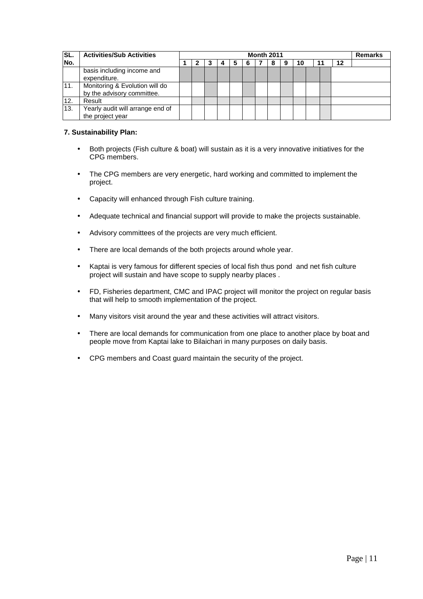| <b>SL.</b> | <b>Activities/Sub Activities</b>                             | <b>Month 2011</b> |   |  |   |   |   | <b>Remarks</b> |  |    |  |
|------------|--------------------------------------------------------------|-------------------|---|--|---|---|---|----------------|--|----|--|
| INo.       |                                                              |                   | C |  | a | b | 8 | 10             |  | 12 |  |
|            | basis including income and<br>expenditure.                   |                   |   |  |   |   |   |                |  |    |  |
| 11.        | Monitoring & Evolution will do<br>by the advisory committee. |                   |   |  |   |   |   |                |  |    |  |
| 12.        | Result                                                       |                   |   |  |   |   |   |                |  |    |  |
| 13.        | Yearly audit will arrange end of<br>the project year         |                   |   |  |   |   |   |                |  |    |  |

# **7. Sustainability Plan:**

- Both projects (Fish culture & boat) will sustain as it is a very innovative initiatives for the CPG members.
- The CPG members are very energetic, hard working and committed to implement the project.
- Capacity will enhanced through Fish culture training.
- Adequate technical and financial support will provide to make the projects sustainable.
- Advisory committees of the projects are very much efficient.
- There are local demands of the both projects around whole year.
- Kaptai is very famous for different species of local fish thus pond and net fish culture project will sustain and have scope to supply nearby places .
- FD, Fisheries department, CMC and IPAC project will monitor the project on regular basis that will help to smooth implementation of the project.
- Many visitors visit around the year and these activities will attract visitors.
- There are local demands for communication from one place to another place by boat and people move from Kaptai lake to Bilaichari in many purposes on daily basis.
- CPG members and Coast guard maintain the security of the project.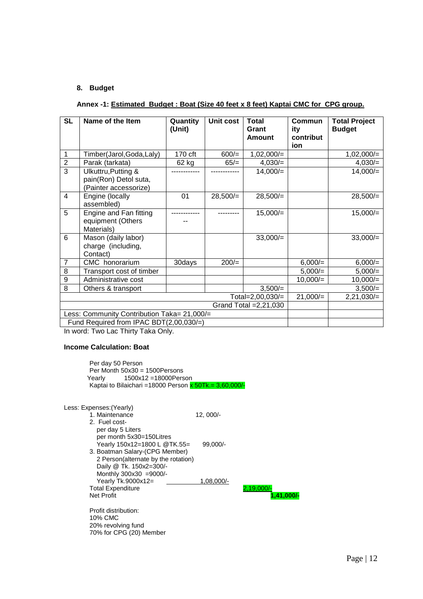## **8. Budget**

## **Annex -1: Estimated Budget : Boat (Size 40 feet x 8 feet) Kaptai CMC for CPG group.**

| <b>SL</b>      | Name of the Item                                          | Quantity<br>(Unit) | Unit cost | <b>Total</b><br>Commun<br>Grant<br>ity<br>contribut<br><b>Amount</b> |            | <b>Total Project</b><br><b>Budget</b> |
|----------------|-----------------------------------------------------------|--------------------|-----------|----------------------------------------------------------------------|------------|---------------------------------------|
|                |                                                           |                    |           |                                                                      | ion        |                                       |
| 1              | Timber(Jarol, Goda, Laly)                                 | 170 cft            | $600/=$   | $1,02,000/=$                                                         |            | $1,02,000/=$                          |
| $\overline{2}$ | Parak (tarkata)                                           | 62 kg              | $65/=$    | $4,030/=$                                                            |            | $4,030/=$                             |
| $\overline{3}$ | Ulkuttru, Putting &                                       |                    |           | $14,000/=$                                                           |            | $14,000/=$                            |
|                | pain(Ron) Detol suta,                                     |                    |           |                                                                      |            |                                       |
|                | (Painter accessorize)                                     |                    |           |                                                                      |            |                                       |
| 4              | Engine (locally<br>assembled)                             | 01                 | 28,500/   | 28,500/                                                              |            | 28,500/                               |
| 5              | Engine and Fan fitting<br>equipment (Others<br>Materials) |                    |           | $15,000/=$                                                           |            | $15,000/$ =                           |
| 6              | Mason (daily labor)<br>charge (including,<br>Contact)     |                    |           | $33,000/=$                                                           |            | $33,000/=$                            |
| $\overline{7}$ | CMC honorarium                                            | 30days             | $200/=$   |                                                                      | $6,000/=$  | $6,000/=$                             |
| 8              | Transport cost of timber                                  |                    |           |                                                                      | $5,000/=$  | $5,000/=$                             |
| 9              | Administrative cost                                       |                    |           |                                                                      | 10,000/    | 10,000/                               |
| 8              | Others & transport                                        |                    |           | $3,500/=$                                                            |            | $3,500/=$                             |
|                |                                                           |                    |           | Total=2,00,030/=                                                     | $21,000/=$ | $2,21,030/=$                          |
|                |                                                           |                    |           | Grand Total $=2,21,030$                                              |            |                                       |
|                | Less: Community Contribution Taka= 21,000/=               |                    |           |                                                                      |            |                                       |
|                | Fund Required from IPAC BDT(2,00,030/=)<br>________       |                    |           |                                                                      |            |                                       |

In word: Two Lac Thirty Taka Only.

### **Income Calculation: Boat**

Per day 50 Person Per Month  $50x30 = 1500$ Persons<br>Yearly 1500x12=18000Pers 1500x12 =18000Person Kaptai to Bilaichari =18000 Person  $x$  50Tk.= 3,60,000/-

## Less: Expenses:(Yearly) 1. Maintenance 12, 000/- 2. Fuel cost per day 5 Liters per month 5x30=150Litres Yearly 150x12=1800 L @TK.55= 99,000/- 3. Boatman Salary-(CPG Member) 2 Person(alternate by the rotation) Daily @ Tk. 150x2=300/- Monthly 300x30 =9000/- Yearly Tk.9000x12= 1,08,000/-Total Expenditure **2,19,000/-**<br>Net Profit

Profit distribution: 10% CMC 20% revolving fund 70% for CPG (20) Member Net Profit **1,41,000/-**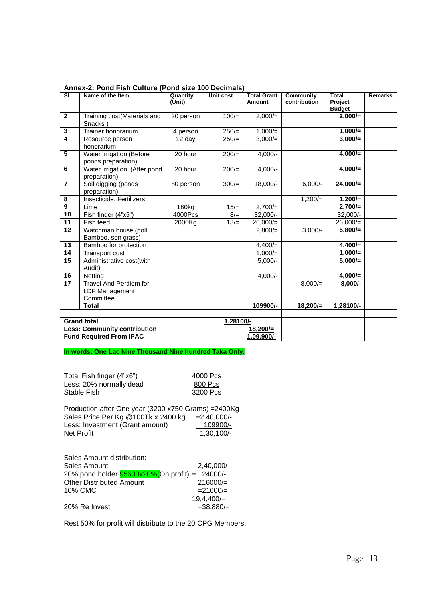| <b>SL</b>       | Name of the Item                                                    | Quantity<br>(Unit) | Unit cost | <b>Total Grant</b><br><b>Amount</b> | Community<br>contribution | <b>Total</b><br><b>Project</b><br><b>Budget</b> | <b>Remarks</b> |
|-----------------|---------------------------------------------------------------------|--------------------|-----------|-------------------------------------|---------------------------|-------------------------------------------------|----------------|
| $\overline{2}$  | Training cost(Materials and<br>Snacks)                              | 20 person          | $100/=$   | $2,000/=$                           |                           | $2,000/=$                                       |                |
| $\mathbf 3$     | Trainer honorarium                                                  | 4 person           | $250/=$   | $1,000/=$                           |                           | $1,000/=$                                       |                |
| 4               | Resource person<br>honorarium                                       | 12 day             | $250/=$   | $3,000/=$                           |                           | $3,000/=$                                       |                |
| 5               | Water irrigation (Before<br>ponds preparation)                      | 20 hour            | $200/=$   | $4,000/-$                           |                           | $4,000/=$                                       |                |
| 6               | Water irrigation (After pond<br>preparation)                        | 20 hour            | $200/=$   | $4,000/-$                           |                           | $4,000/=$                                       |                |
| $\overline{7}$  | Soil digging (ponds<br>preparation)                                 | 80 person          | $300/=$   | 18,000/-                            | $6,000/-$                 | $24,000/=$                                      |                |
| 8               | Insecticide, Fertilizers                                            |                    |           |                                     | $1,200/=$                 | $1,200/=$                                       |                |
| $\overline{9}$  | Lime                                                                | 180kg              | $15/=$    | $2,700/=$                           |                           | $2,700/=$                                       |                |
| 10              | Fish finger (4"x6")                                                 | 4000Pcs            | $8/=$     | $32,000/-$                          |                           | 32,000/-                                        |                |
| 11              | Fish feed                                                           | 2000Kg             | $13/=$    | $26,000/=$                          |                           | $26,000/=$                                      |                |
| 12              | Watchman house (poll,<br>Bamboo, son grass)                         |                    |           | $2,800/=$                           | $3,000/-$                 | $5,800/=$                                       |                |
| 13              | Bamboo for protection                                               |                    |           | $4,400/=$                           |                           | $4,400/=$                                       |                |
| 14              | Transport cost                                                      |                    |           | $1,000/=$                           |                           | $1,000/=$                                       |                |
| 15              | Administrative cost(with<br>Audit)                                  |                    |           | $5,000/-$                           |                           | $5,000/=$                                       |                |
| 16              | Netting                                                             |                    |           | $4,000/-$                           |                           | $4,000/=$                                       |                |
| $\overline{17}$ | <b>Travel And Perdiem for</b><br><b>LDF Management</b><br>Committee |                    |           |                                     | $8,000/=$                 | $8,000/-$                                       |                |
|                 | <b>Total</b>                                                        |                    |           | 109900/-                            | $18,200/=$                | 1,28100/-                                       |                |
|                 |                                                                     |                    |           |                                     |                           |                                                 |                |
|                 | <b>Grand total</b>                                                  |                    | 1,28100/- |                                     |                           |                                                 |                |
|                 | <b>Less: Community contribution</b>                                 |                    |           | $18,200/=$                          |                           |                                                 |                |
|                 | <b>Fund Required From IPAC</b>                                      |                    |           | 1,09,900/-                          |                           |                                                 |                |

#### **Annex-2: Pond Fish Culture (Pond size 100 Decimals)**

**In words: One Lac Nine Thousand Nine hundred Taka Only.** 

| Total Fish finger (4"x6")<br>Less: 20% normally dead<br>Stable Fish                                                                          | 4000 Pcs<br>800 Pcs<br>3200 Pcs            |
|----------------------------------------------------------------------------------------------------------------------------------------------|--------------------------------------------|
| Production after One year (3200 x750 Grams) = 2400Kg<br>Sales Price Per Kg @100Tk.x 2400 kg<br>Less: Investment (Grant amount)<br>Net Profit | $=2,40,000/$ -<br>109900/-<br>$1,30,100/-$ |
| Sales Amount distribution:<br>Calas Americat                                                                                                 | 0.10.000/                                  |

| <u>oaioo 7 11110 aritti alothographi.</u> |                                                |              |
|-------------------------------------------|------------------------------------------------|--------------|
| Sales Amount                              |                                                | $2.40.000/-$ |
|                                           | 20% pond holder 95600x20%(On profit) = 24000/- |              |
| <b>Other Distributed Amount</b>           |                                                | $216000/=$   |
| 10% CMC                                   |                                                | $= 21600/$   |
|                                           |                                                | 19,4,400/    |
| 20% Re Invest                             |                                                | $=38,880/$   |
|                                           |                                                |              |

Rest 50% for profit will distribute to the 20 CPG Members.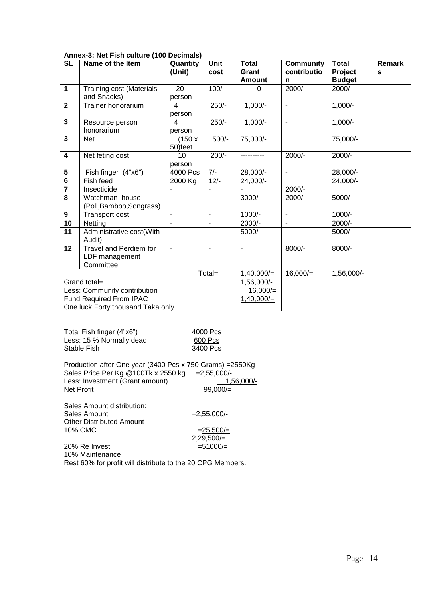| <b>SL</b>               | Name of the Item                  | Quantity                 | <b>Unit</b> | <b>Total</b>      | <b>Community</b> | <b>Total</b>  | <b>Remark</b> |
|-------------------------|-----------------------------------|--------------------------|-------------|-------------------|------------------|---------------|---------------|
|                         |                                   | (Unit)                   | cost        | Grant             | contributio      | Project       | S             |
|                         |                                   |                          |             | <b>Amount</b>     | n                | <b>Budget</b> |               |
| 1                       | <b>Training cost (Materials</b>   | 20                       | $100/-$     | $\Omega$          | $2000/-$         | 2000/-        |               |
|                         | and Snacks)                       | person                   |             |                   |                  |               |               |
| $\overline{\mathbf{2}}$ | Trainer honorarium                | 4                        | $250/-$     | $1,000/-$         | $\overline{a}$   | $1,000/-$     |               |
|                         |                                   | person                   |             |                   |                  |               |               |
| $\overline{\mathbf{3}}$ | Resource person                   | 4                        | $250/-$     | $1,000/-$         | $\blacksquare$   | $1,000/-$     |               |
|                         | honorarium                        | person                   |             |                   |                  |               |               |
| $\overline{\mathbf{3}}$ | <b>Net</b>                        | (150x)                   | $500/-$     | 75,000/-          |                  | 75,000/-      |               |
|                         |                                   | 50)feet                  |             |                   |                  |               |               |
| $\overline{\mathbf{4}}$ | Net feting cost                   | 10                       | $200/-$     | ----------        | 2000/-           | 2000/-        |               |
|                         |                                   | person                   |             |                   |                  |               |               |
| 5                       | Fish finger (4"x6")               | 4000 Pcs                 | $7/-$       | 28,000/-          | $\blacksquare$   | 28,000/-      |               |
| $\overline{6}$          | Fish feed                         | 2000 Kg                  | $12/-$      | 24,000/-          |                  | 24,000/-      |               |
| $\overline{7}$          | Insecticide                       |                          |             |                   | 2000/-           |               |               |
| $\overline{\mathbf{8}}$ | Watchman house                    |                          |             | 3000/-            | 2000/-           | 5000/-        |               |
|                         | (Poll, Bamboo, Songrass)          |                          |             |                   |                  |               |               |
| 9                       | Transport cost                    | $\blacksquare$           | ä,          | $1000/-$          | $\blacksquare$   | $1000/-$      |               |
| 10                      | Netting                           |                          |             | 2000/-            |                  | $2000/-$      |               |
| 11                      | Administrative cost(With          | $\overline{\phantom{a}}$ |             | 5000/-            | $\blacksquare$   | 5000/-        |               |
|                         | Audit)                            |                          |             |                   |                  |               |               |
| 12                      | Travel and Perdiem for            | $\blacksquare$           | ä,          | $\blacksquare$    | 8000/-           | 8000/-        |               |
|                         | LDF management                    |                          |             |                   |                  |               |               |
|                         | Committee                         |                          |             |                   |                  |               |               |
|                         |                                   |                          | Total=      | $1,40,000/=$      | $16,000/=$       | 1,56,000/-    |               |
|                         | Grand total=                      |                          |             | 1,56,000/-        |                  |               |               |
|                         | Less: Community contribution      |                          |             | 16,000/           |                  |               |               |
|                         | Fund Required From IPAC           |                          |             | $1,40,000/\equiv$ |                  |               |               |
|                         | One luck Forty thousand Taka only |                          |             |                   |                  |               |               |

## **Annex-3: Net Fish culture (100 Decimals)**

| Total Fish finger (4"x6") | 4000 Pcs |
|---------------------------|----------|
| Less: 15 % Normally dead  | 600 Pcs  |
| Stable Fish               | 3400 Pcs |

| 4000 Pcs |  |
|----------|--|
| 600 Pcs  |  |
| 3400 Pcs |  |

| Production after One year (3400 Pcs x 750 Grams) = 2550Kg |                |
|-----------------------------------------------------------|----------------|
| Sales Price Per Kg @100Tk.x 2550 kg                       | $= 2.55.000/-$ |
| Less: Investment (Grant amount)                           | $1.56.000/-$   |
| Net Profit                                                | $99.000 =$     |

Sales Amount distribution:  $Sales Amount$  =2,55,000/-Other Distributed Amount

10% CMC  $=25,500/=$  $2,29,500/=$ 

 $20\%$  Re Invest  $=51000/$ 10% Maintenance Rest 60% for profit will distribute to the 20 CPG Members.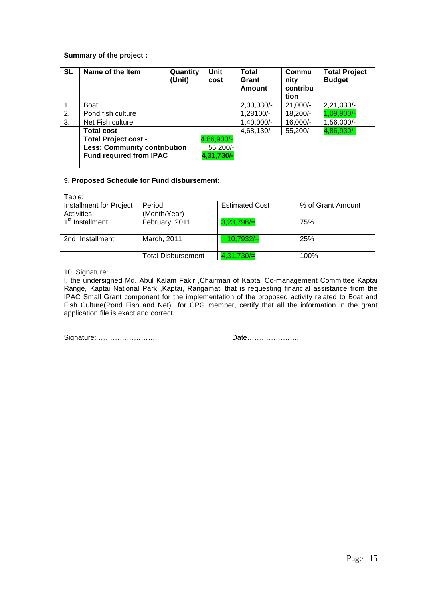# **Summary of the project :**

| <b>SL</b> | Name of the Item                    | Quantity<br>(Unit) | Unit<br>cost | <b>Total</b><br>Grant<br>Amount | Commu<br>nity<br>contribu<br>tion | <b>Total Project</b><br><b>Budget</b> |
|-----------|-------------------------------------|--------------------|--------------|---------------------------------|-----------------------------------|---------------------------------------|
| 1.        | Boat                                |                    |              | 2,00,030/-                      | $21,000/-$                        | 2,21,030/-                            |
| 2.        | Pond fish culture                   |                    |              | 1,28100/-                       | 18,200/-                          | 1,09,900/-                            |
| 3.        | Net Fish culture                    |                    |              | 1,40,000/-                      | 16,000/-                          | 1,56,000/-                            |
|           | <b>Total cost</b>                   |                    |              | 4,68,130/-                      | 55,200/-                          | 4,86,930/-                            |
|           | <b>Total Project cost -</b>         |                    | 4,86,930/-   |                                 |                                   |                                       |
|           | <b>Less: Community contribution</b> |                    | 55,200/-     |                                 |                                   |                                       |
|           | <b>Fund required from IPAC</b>      |                    | 4,31,730/-   |                                 |                                   |                                       |

# 9. **Proposed Schedule for Fund disbursement:**

Table:

| Installment for Project     | Period             | <b>Estimated Cost</b> | % of Grant Amount |
|-----------------------------|--------------------|-----------------------|-------------------|
| Activities                  | (Month/Year)       |                       |                   |
| 1 <sup>st</sup> Installment | February, 2011     | $3,23,798/=$          | 75%               |
|                             |                    |                       |                   |
| 2nd Installment             | March, 2011        | 10,7932/              | 25%               |
|                             |                    |                       |                   |
|                             | Total Disbursement | 4,31,730/             | 100%              |

10. Signature:

I, the undersigned Md. Abul Kalam Fakir ,Chairman of Kaptai Co-management Committee Kaptai Range, Kaptai National Park ,Kaptai, Rangamati that is requesting financial assistance from the IPAC Small Grant component for the implementation of the proposed activity related to Boat and Fish Culture(Pond Fish and Net) for CPG member, certify that all the information in the grant application file is exact and correct.

Signature: …………………….. Date………………….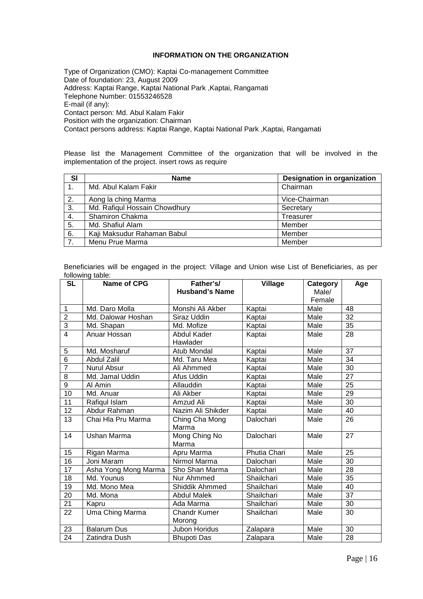# **INFORMATION ON THE ORGANIZATION**

Type of Organization (CMO): Kaptai Co-management Committee Date of foundation: 23, August 2009 Address: Kaptai Range, Kaptai National Park ,Kaptai, Rangamati Telephone Number: 01553246528 E-mail (if any): Contact person: Md. Abul Kalam Fakir Position with the organization: Chairman Contact persons address: Kaptai Range, Kaptai National Park ,Kaptai, Rangamati

Please list the Management Committee of the organization that will be involved in the implementation of the project. insert rows as require

| <b>SI</b> | <b>Name</b>                   | <b>Designation in organization</b> |
|-----------|-------------------------------|------------------------------------|
|           | Md. Abul Kalam Fakir          | Chairman                           |
| 2.        | Aong la ching Marma           | Vice-Chairman                      |
| 3.        | Md. Rafiqul Hossain Chowdhury | Secretary                          |
| 4.        | Shamiron Chakma               | Treasurer                          |
| 5.        | Md. Shafiul Alam              | Member                             |
| 6.        | Kaji Maksudur Rahaman Babul   | Member                             |
| 7.        | Menu Prue Marma               | Member                             |

Beneficiaries will be engaged in the project: Village and Union wise List of Beneficiaries, as per following table:

| <b>SL</b>       | <b>Name of CPG</b>   | Father's/<br><b>Husband's Name</b> | <b>Village</b> | Category<br>Male/<br>Female | Age             |
|-----------------|----------------------|------------------------------------|----------------|-----------------------------|-----------------|
| $\mathbf{1}$    | Md. Daro Molla       | Monshi Ali Akber                   | Kaptai         | Male                        | 48              |
| $\overline{2}$  | Md. Dalowar Hoshan   | Siraz Uddin                        | Kaptai         | Male                        | $\overline{32}$ |
| 3               | Md. Shapan           | Md. Mofize                         | Kaptai         | Male                        | 35              |
| $\overline{4}$  | Anuar Hossan         | Abdul Kader<br>Hawlader            | Kaptai         | Male                        | 28              |
| 5               | Md. Mosharuf         | Atub Mondal                        | Kaptai         | Male                        | 37              |
| $\overline{6}$  | <b>Abdul Zalil</b>   | Md. Taru Mea                       | Kaptai         | Male                        | 34              |
| $\overline{7}$  | Nurul Absur          | Ali Ahmmed                         | Kaptai         | Male                        | 30              |
| $\overline{8}$  | Md. Jamal Uddin      | Afus Uddin                         | Kaptai         | Male                        | $\overline{27}$ |
| 9               | Al Amin              | Allauddin                          | Kaptai         | Male                        | 25              |
| 10              | Md. Anuar            | Ali Akber                          | Kaptai         | Male                        | $\overline{29}$ |
| $\overline{11}$ | Rafiqul Islam        | Amzud Ali                          | Kaptai         | Male                        | 30              |
| 12              | Abdur Rahman         | Nazim Ali Shikder                  | Kaptai         | Male                        | 40              |
| 13              | Chai Hla Pru Marma   | Ching Cha Mong<br>Marma            | Dalochari      | Male                        | 26              |
| 14              | Ushan Marma          | Mong Ching No<br>Marma             | Dalochari      | Male                        | 27              |
| 15              | Rigan Marma          | Apru Marma                         | Phutia Chari   | Male                        | 25              |
| 16              | Joni Maram           | Nirmol Marma                       | Dalochari      | Male                        | $\overline{30}$ |
| 17              | Asha Yong Mong Marma | Sho Shan Marma                     | Dalochari      | Male                        | 28              |
| 18              | Md. Younus           | Nur Ahmmed                         | Shailchari     | Male                        | 35              |
| 19              | Md. Mono Mea         | Shiddik Ahmmed                     | Shailchari     | Male                        | 40              |
| 20              | Md. Mona             | <b>Abdul Malek</b>                 | Shailchari     | Male                        | $\overline{37}$ |
| 21              | Kapru                | Ada Marma                          | Shailchari     | Male                        | 30              |
| 22              | Uma Ching Marma      | <b>Chandr Kumer</b><br>Morong      | Shailchari     | Male                        | 30              |
| 23              | <b>Balarum Dus</b>   | <b>Jubon Horidus</b>               | Zalapara       | Male                        | 30              |
| 24              | Zatindra Dush        | <b>Bhupoti Das</b>                 | Zalapara       | Male                        | 28              |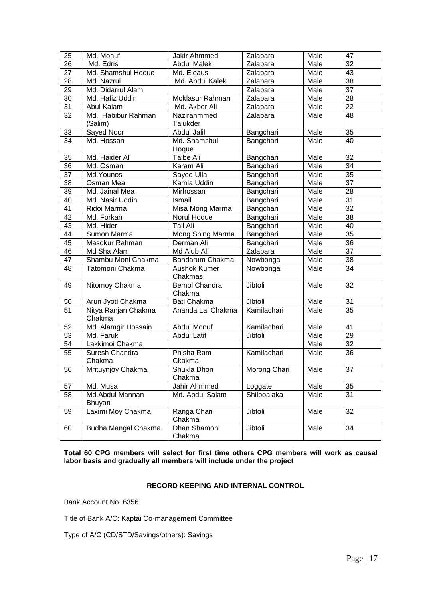| 25              | Md. Monuf                     | Jakir Ahmmed                   | Zalapara     | Male | 47              |
|-----------------|-------------------------------|--------------------------------|--------------|------|-----------------|
| 26              | Md. Edris                     | <b>Abdul Malek</b>             | Zalapara     | Male | $\overline{32}$ |
| 27              | Md. Shamshul Hoque            | Md. Eleaus                     | Zalapara     | Male | 43              |
| 28              | Md. Nazrul                    | Md. Abdul Kalek                | Zalapara     | Male | $\overline{38}$ |
| 29              | Md. Didarrul Alam             |                                | Zalapara     | Male | $\overline{37}$ |
| 30              | Md. Hafiz Uddin               | Moklasur Rahman                | Zalapara     | Male | 28              |
| 31              | Abul Kalam                    | Md. Akber Ali                  | Zalapara     | Male | $\overline{22}$ |
| 32              | Md. Habibur Rahman            | Nazirahmmed                    | Zalapara     | Male | 48              |
|                 | (Salim)                       | <b>Talukder</b>                |              |      |                 |
| 33              | Sayed Noor                    | Abdul Jalil                    | Bangchari    | Male | 35              |
| $\overline{34}$ | Md. Hossan                    | Md. Shamshul                   | Bangchari    | Male | 40              |
|                 |                               | Hoque                          |              |      |                 |
| 35              | Md. Haider Ali                | Taibe Ali                      | Bangchari    | Male | 32              |
| 36              | Md. Osman                     | Karam Ali                      | Bangchari    | Male | 34              |
| 37              | Md. Younos                    | Sayed Ulla                     | Bangchari    | Male | 35              |
| 38              | Osman Mea                     | Kamla Uddin                    | Bangchari    | Male | 37              |
| 39              | Md. Jainal Mea                | Mirhossan                      | Bangchari    | Male | 28              |
| 40              | Md. Nasir Uddin               | Ismail                         | Bangchari    | Male | 31              |
| 41              | Ridoi Marma                   | Misa Mong Marma                | Bangchari    | Male | $\overline{32}$ |
| 42              | Md. Forkan                    | Norul Hoque                    | Bangchari    | Male | $\overline{38}$ |
| 43              | Md. Hider                     | <b>Tail Ali</b>                | Bangchari    | Male | 40              |
| 44              | Sumon Marma                   | Mong Shing Marma               | Bangchari    | Male | $\overline{35}$ |
| 45              | Masokur Rahman                | Derman Ali                     | Bangchari    | Male | 36              |
| 46              | Md Sha Alam                   | Md Aiub Ali                    | Zalapara     | Male | 37              |
| 47              | Shambu Moni Chakma            | Bandarum Chakma                | Nowbonga     | Male | 38              |
| 48              | Tatomoni Chakma               | <b>Aushok Kumer</b><br>Chakmas | Nowbonga     | Male | 34              |
| 49              | Nitomoy Chakma                | <b>Bemol Chandra</b><br>Chakma | Jibtoli      | Male | 32              |
| 50              | Arun Jyoti Chakma             | Bati Chakma                    | Jibtoli      | Male | $\overline{31}$ |
| $\overline{51}$ | Nitya Ranjan Chakma<br>Chakma | Ananda Lal Chakma              | Kamilachari  | Male | $\overline{35}$ |
| 52              | Md. Alamgir Hossain           | Abdul Monuf                    | Kamilachari  | Male | 41              |
| 53              | Md. Faruk                     | <b>Abdul Latif</b>             | Jibtoli      | Male | 29              |
| 54              | Lakkimoi Chakma               |                                |              | Male | 32              |
| 55              | Suresh Chandra<br>Chakma      | Phisha Ram<br>Ckakma           | Kamilachari  | Male | 36              |
| 56              | Mrituynjoy Chakma             | Shukla Dhon<br>Chakma          | Morong Chari | Male | $\overline{37}$ |
| 57              | Md. Musa                      | Jahir Ahmmed                   | Loggate      | Male | 35              |
| 58              | Md.Abdul Mannan<br>Bhuyan     | Md. Abdul Salam                | Shilpoalaka  | Male | 31              |
| 59              | Laximi Moy Chakma             | Ranga Chan<br>Chakma           | Jibtoli      | Male | 32              |
| 60              | Budha Mangal Chakma           | Dhan Shamoni<br>Chakma         | Jibtoli      | Male | 34              |

**Total 60 CPG members will select for first time others CPG members will work as causal labor basis and gradually all members will include under the project** 

### **RECORD KEEPING AND INTERNAL CONTROL**

Bank Account No. 6356

Title of Bank A/C: Kaptai Co-management Committee

Type of A/C (CD/STD/Savings/others): Savings